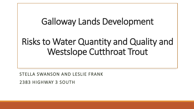## Galloway Lands Development

## Risks to Water Quantity and Quality and Westslope Cutthroat Trout

STELLA SWANSON AND LESLIE FRANK

2383 HIGHWAY 3 SOUTH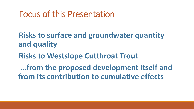## Focus of this Presentation

**Risks to surface and groundwater quantity and quality**

**Risks to Westslope Cutthroat Trout**

**…from the proposed development itself and from its contribution to cumulative effects**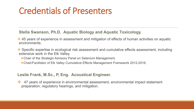## Credentials of Presenters

#### **Stella Swanson, Ph.D. Aquatic Biology and Aquatic Toxicology**.

- $\cdot$  45 years of experience in assessment and mitigation of effects of human activities on aquatic environments.
- **\*** Specific expertise in ecological risk assessment and cumulative effects assessment, including extensive work in the Elk Valley.
	- Chair of the Strategic Advisory Panel on Selenium Management.
	- Chair/Facilitator of Elk Valley Cumulative Effects Management Framework 2012-2016.

#### **Leslie Frank, M.Sc., P, Eng. Acoustical Engineer.**

◆ 47 years of experience in environmental assessment, environmental impact statement preparation, regulatory hearings, and mitigation.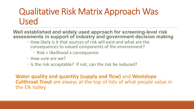## Qualitative Risk Matrix Approach Was Used

**Well established and widely used approach for screening-level risk assessments in support of industry and government decision making**

- How likely is it that sources of risk will exist and what are the consequences to valued components of the environment?
	- Risk = likelihood x consequence
- How sure are we?
- Is the risk acceptable? If not, can the risk be reduced?

**Water quality and quantity (supply and flow)** and **Westslope Cutthroat Trout** are always at the top of lists of what people value in the Elk Valley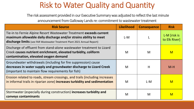### Risk to Water Quality and Quantity

The risk assessment provided in our Executive Summary was adjusted to reflect the last minute announcement from Galloway Lands re: commitment to wastewater treatment

| <b>Risk Source</b>                                                                                                                                                                                                  | <b>Likelihood</b> | <b>Consequence</b> | <b>Risk</b>                    |
|---------------------------------------------------------------------------------------------------------------------------------------------------------------------------------------------------------------------|-------------------|--------------------|--------------------------------|
| Tie-in to Fernie Alpine Resort Wastewater Treatment exceeds current<br>maximum allowable daily discharge and/or strains ability to meet<br>discharge limits (see FAR Wastewater Treatment Plant 2021 Annual Report) | L-M               |                    | L-M [risk is]<br>to Elk River] |
| Discharge of effluent from stand-alone wastewater treatment to Lizard<br>Creek causes nutrient enrichment, elevated turbidity, coliform<br>contamination, elevated oxygen demand                                    | M                 | M                  | $\mathsf{M}$                   |
| Groundwater withdrawals (including for fire suppression) cause<br>decreases in water supply and groundwater discharge to Lizard Creek<br>(important to maintain flow requirements for fish)                         | M                 | H                  | $M-H$                          |
| Erosion related to roads, stream crossings, and trails (including increases<br>in informal trails in riparian zone) increases turbidity and sedimentation                                                           | M                 | $L-M$              | $\mathsf{M}$                   |
| Stormwater (especially during construction) increases turbidity and<br>conveys contaminants                                                                                                                         | M                 | M                  | $\mathsf{M}$                   |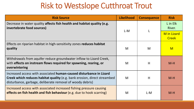#### Risk to Westslope Cutthroat Trout

| <b>Risk Source</b>                                                                                                                                                                                                  | <b>Likelihood</b> | <b>Consequence</b> | <b>Risk</b>                        |
|---------------------------------------------------------------------------------------------------------------------------------------------------------------------------------------------------------------------|-------------------|--------------------|------------------------------------|
| Decrease in water quality affects fish health and habitat quality (e.g.<br>invertebrate food sources)                                                                                                               | L-M               |                    | L in Elk<br>River.                 |
|                                                                                                                                                                                                                     |                   |                    | <b>M</b> in Lizard<br><b>Creek</b> |
| Effects on riparian habitat in high-sensitivity zones reduces habitat<br>quality                                                                                                                                    | M                 | M                  | $\mathsf{M}$                       |
| Withdrawals from aquifer reduce groundwater inflow to Lizard Creek,<br>with effects on instream flows required for spawning, rearing, or<br>overwintering                                                           | M                 | H                  | $M-H$                              |
| Increased access with associated human-caused disturbance in Lizard<br><b>Creek which reduces habitat quality</b> (e.g. bank erosion, direct streambed<br>disturbance, garbage, deliberate removal of woody debris) | M                 | H                  | $M-H$                              |
| Increased access with associated increased fishing pressure causing<br>effects on fish health and fish behaviour (e.g. due to hook scarring)                                                                        | M                 | L-M                | $M-H$                              |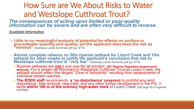### How Sure are We About Risks to Water and Westslope Cutthroat Trout?

*The consequences of acting upon limited or poor-quality information can be severe and are often very difficult to reverse.* 

*Available Information*

- **Little to no meaningful analysis of potential for effects on surface or groundwater quantity and quality, yet the applicant describes the risk as "minimal"** (Galloway Lands Summary pdf pg. 9/15)
- **Almost complete reliance on 30m riparian setback for Lizard Creek and 15m setback for other creeks to justify the applicant's conclusion that risk to Westslope cutthroat trout is "very low"** (Galloway Lands Summary pdf pg. 9/15)
	- Riparian setbacks are **not** a one size fits all solution. **(BC Riparian Regulation Assessment Methods).** For a stream as important to Westslope Cutthroat Trout as Lizard Creek, the<br>setback should reflect the largest "Zone of Sensitivity" resulting from assessments of<br>individual stream reaches.
	- **The RDEK staff** recommends **a 'no disturbance' covenant** to prohibit any land disturbance, tree removal, new trails, and any other further development in the PG- 2 **lands within 100 m of the ordinary high-water mark** of Lizard Creek <sub>(pdf page 65 of Agenda <br>package)</sub>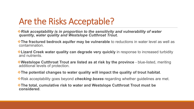## Are the Risks Acceptable?

- *Risk acceptability is in proportion to the sensitivity and vulnerability of water quantity, water quality and Westslope Cutthroat Trout.*
- **The fractured bedrock aquifer may be vulnerable** to reductions in water level as well as contamination.
- **Exard Creek water quality can degrade very quickly** in response to increased turbidity and nutrients.
- **Westslope Cutthroat Trout are listed as at risk by the province -** blue-listed, meriting additional levels of protection.
- **The potential changes to water quality will impact the quality of trout habitat**.
- **\*** Risk acceptability goes beyond *checking boxes* regarding whether guidelines are met.

**The total, cumulative risk to water and Westslope Cutthroat Trout must be considered**.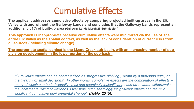## Cumulative Effects

**The applicant addresses cumulative effects by comparing projected built-up areas in the Elk Valley with and without the Galloway Lands and concludes that the Galloway Lands represent an additional 0.01% of built-up area (Galloway Lands March 25 Submission)**

**This approach is inappropriate because cumulative effects were minimized via the use of the entire Elk Valley as the spatial context, as well as the lack of consideration of current risks from all sources (including climate change).** 

**The appropriate spatial context is the Lizard Creek sub-basin, with an increasing number of subdivision developments in the lower portion of the sub-basin.** 

*"Cumulative effects can be characterized as 'progressive nibbling', 'death by a thousand cuts'; or the 'tyranny of small decisions'. In other words, cumulative effects are the combination of effects – many of which can be individually small and seemingly insignificant, such as …water withdrawals or the incremental filling of wetlands. Over time, such seemingly insignificant effects can result in significant cumulative environmental change" (Noble, 2015).*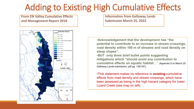## Adding to Existing High Cumulative Effects

**report 2018**

**From Elk Valley Cumulative Effects and Management Report 2018**



**Information from Galloway Lands Submission March 25, 2022** 

•**Acknowledgement that the development has "the potential to contribute to an increase in stream crossings, road density within 100 m of streams and road density on steep slopes".** 

•**BUT only three brief bullet points suggesting mitigations which "should avoid any contribution to cumulative effects on aquatic habitat**…" (Appendix D to March 25 Galloway Lands submission, pdf pg. 136/197).

•This statement makes no reference to **existing** cumulative effects from road density and stream crossings, which have been assessed as being in the high hazard category for lower Lizard Creek (see map on left).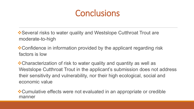## **Conclusions**

 $\triangle$ **Several risks to water quality and Westslope Cutthroat Trout are** moderate-to-high

**\*** Confidence in information provided by the applicant regarding risk factors is low

Characterization of risk to water quality and quantity as well as Westslope Cutthroat Trout in the applicant's submission does not address their sensitivity and vulnerability, nor their high ecological, social and economic value

**\* Cumulative effects were not evaluated in an appropriate or credible** manner